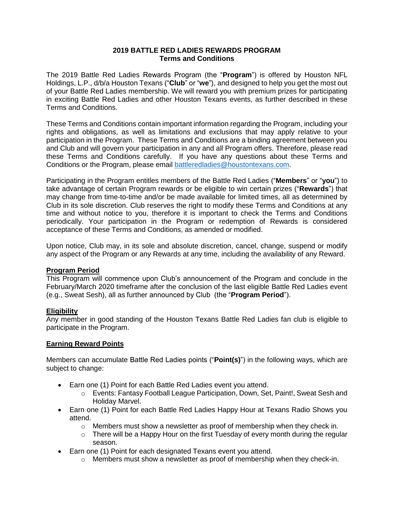### **2019 BATTLE RED LADIES REWARDS PROGRAM Terms and Conditions**

The 2019 Battle Red Ladies Rewards Program (the "**Program**") is offered by Houston NFL Holdings, L.P., d/b/a Houston Texans ("**Club**" or "**we**"), and designed to help you get the most out of your Battle Red Ladies membership. We will reward you with premium prizes for participating in exciting Battle Red Ladies and other Houston Texans events, as further described in these Terms and Conditions.

These Terms and Conditions contain important information regarding the Program, including your rights and obligations, as well as limitations and exclusions that may apply relative to your participation in the Program. These Terms and Conditions are a binding agreement between you and Club and will govern your participation in any and all Program offers. Therefore, please read these Terms and Conditions carefully. If you have any questions about these Terms and Conditions or the Program, please email [battleredladies@houstontexans.com.](mailto:battleredladies@houstontexans.com)

Participating in the Program entitles members of the Battle Red Ladies ("**Members**" or "**you**") to take advantage of certain Program rewards or be eligible to win certain prizes ("**Rewards**") that may change from time-to-time and/or be made available for limited times, all as determined by Club in its sole discretion. Club reserves the right to modify these Terms and Conditions at any time and without notice to you, therefore it is important to check the Terms and Conditions periodically. Your participation in the Program or redemption of Rewards is considered acceptance of these Terms and Conditions, as amended or modified.

Upon notice, Club may, in its sole and absolute discretion, cancel, change, suspend or modify any aspect of the Program or any Rewards at any time, including the availability of any Reward.

## **Program Period**

This Program will commence upon Club's announcement of the Program and conclude in the February/March 2020 timeframe after the conclusion of the last eligible Battle Red Ladies event (e.g., Sweat Sesh), all as further announced by Club (the "**Program Period**").

## **Eligibility**

Any member in good standing of the Houston Texans Battle Red Ladies fan club is eligible to participate in the Program.

#### **Earning Reward Points**

Members can accumulate Battle Red Ladies points ("**Point(s)**") in the following ways, which are subject to change:

- Earn one (1) Point for each Battle Red Ladies event you attend.
	- o Events: Fantasy Football League Participation, Down, Set, Paint!, Sweat Sesh and Holiday Marvel.
- Earn one (1) Point for each Battle Red Ladies Happy Hour at Texans Radio Shows you attend.
	- $\circ$  Members must show a newsletter as proof of membership when they check in.
	- $\circ$  There will be a Happy Hour on the first Tuesday of every month during the regular season.
- Earn one (1) Point for each designated Texans event you attend.
	- $\circ$  Members must show a newsletter as proof of membership when they check-in.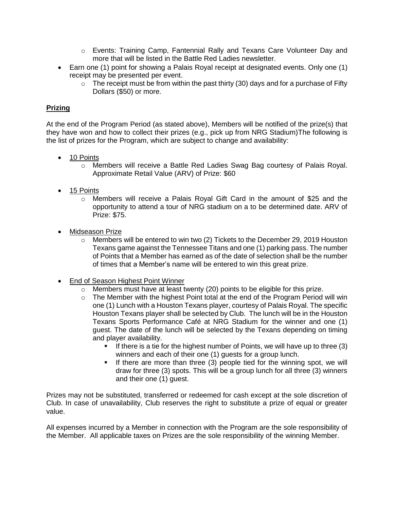- o Events: Training Camp, Fantennial Rally and Texans Care Volunteer Day and more that will be listed in the Battle Red Ladies newsletter.
- Earn one (1) point for showing a Palais Royal receipt at designated events. Only one (1) receipt may be presented per event.
	- $\circ$  The receipt must be from within the past thirty (30) days and for a purchase of Fifty Dollars (\$50) or more.

# **Prizing**

At the end of the Program Period (as stated above), Members will be notified of the prize(s) that they have won and how to collect their prizes (e.g., pick up from NRG Stadium)The following is the list of prizes for the Program, which are subject to change and availability:

- 10 Points
	- o Members will receive a Battle Red Ladies Swag Bag courtesy of Palais Royal. Approximate Retail Value (ARV) of Prize: \$60
- 15 Points
	- o Members will receive a Palais Royal Gift Card in the amount of \$25 and the opportunity to attend a tour of NRG stadium on a to be determined date. ARV of Prize: \$75.
- Midseason Prize
	- $\circ$  Members will be entered to win two (2) Tickets to the December 29, 2019 Houston Texans game against the Tennessee Titans and one (1) parking pass. The number of Points that a Member has earned as of the date of selection shall be the number of times that a Member's name will be entered to win this great prize.
- End of Season Highest Point Winner
	- o Members must have at least twenty (20) points to be eligible for this prize.
	- o The Member with the highest Point total at the end of the Program Period will win one (1) Lunch with a Houston Texans player, courtesy of Palais Royal. The specific Houston Texans player shall be selected by Club. The lunch will be in the Houston Texans Sports Performance Café at NRG Stadium for the winner and one (1) guest. The date of the lunch will be selected by the Texans depending on timing and player availability.
		- If there is a tie for the highest number of Points, we will have up to three (3) winners and each of their one (1) guests for a group lunch.
		- If there are more than three (3) people tied for the winning spot, we will draw for three (3) spots. This will be a group lunch for all three (3) winners and their one (1) guest.

Prizes may not be substituted, transferred or redeemed for cash except at the sole discretion of Club. In case of unavailability, Club reserves the right to substitute a prize of equal or greater value.

All expenses incurred by a Member in connection with the Program are the sole responsibility of the Member. All applicable taxes on Prizes are the sole responsibility of the winning Member.